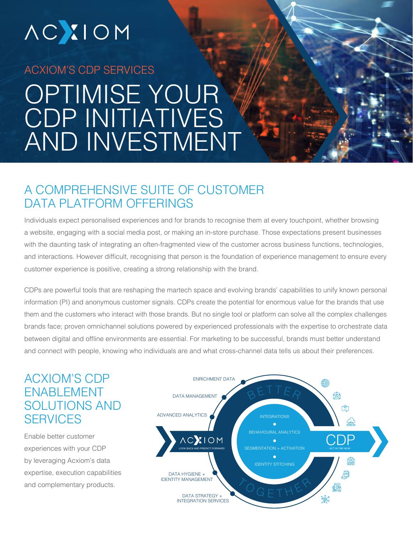# **ACXIOM**

## ACXIOM'S CDP SERVICES OPTIMISE YOUR CDP INITIATIVES AND INVESTMENT

## A COMPREHENSIVE SUITE OF CUSTOMER DATA PLATFORM OFFFRINGS

Individuals expect personalised experiences and for brands to recognise them at every touchpoint, whether browsing a website, engaging with a social media post, or making an in-store purchase. Those expectations present businesses with the daunting task of integrating an often-fragmented view of the customer across business functions, technologies, and interactions. However difficult, recognising that person is the foundation of experience management to ensure every customer experience is positive, creating a strong relationship with the brand.

CDPs are powerful tools that are reshaping the martech space and evolving brands' capabilities to unify known personal information (PI) and anonymous customer signals. CDPs create the potential for enormous value for the brands that use them and the customers who interact with those brands. But no single tool or platform can solve all the complex challenges brands face; proven omnichannel solutions powered by experienced professionals with the expertise to orchestrate data between digital and offline environments are essential. For marketing to be successful, brands must better understand and connect with people, knowing who individuals are and what cross-channel data tells us about their preferences.

## ACXIOM'S CDP ENABLEMENT SOLUTIONS AND **SFRVICES**

Enable better customer experiences with your CDP by leveraging Acxiom's data expertise, execution capabilities and complementary products.

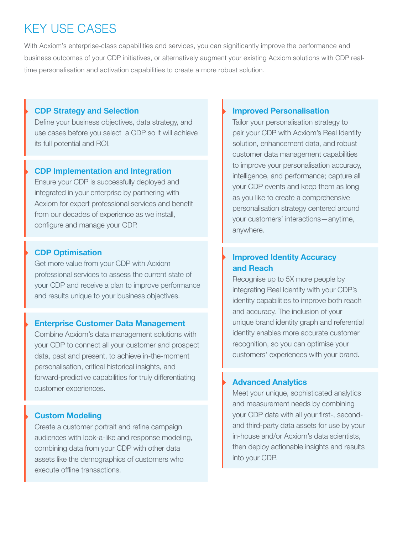## KEY USE CASES

With Acxiom's enterprise-class capabilities and services, you can significantly improve the performance and business outcomes of your CDP initiatives, or alternatively augment your existing Acxiom solutions with CDP realtime personalisation and activation capabilities to create a more robust solution.

#### **CDP Strategy and Selection**

Define your business objectives, data strategy, and use cases before you select a CDP so it will achieve its full potential and ROI.

#### **CDP Implementation and Integration**

Ensure your CDP is successfully deployed and integrated in your enterprise by partnering with Acxiom for expert professional services and benefit from our decades of experience as we install, configure and manage your CDP.

#### **CDP Optimisation**

Get more value from your CDP with Acxiom professional services to assess the current state of your CDP and receive a plan to improve performance and results unique to your business objectives.

#### **Enterprise Customer Data Management**

Combine Acxiom's data management solutions with your CDP to connect all your customer and prospect data, past and present, to achieve in-the-moment personalisation, critical historical insights, and forward-predictive capabilities for truly differentiating customer experiences.

#### **Custom Modeling**

Create a customer portrait and refine campaign audiences with look-a-like and response modeling, combining data from your CDP with other data assets like the demographics of customers who execute offline transactions.

#### **Improved Personalisation**

Tailor your personalisation strategy to pair your CDP with Acxiom's Real Identity solution, enhancement data, and robust customer data management capabilities to improve your personalisation accuracy, intelligence, and performance; capture all your CDP events and keep them as long as you like to create a comprehensive personalisation strategy centered around your customers' interactions—anytime, anywhere.

#### **Improved Identity Accuracy and Reach**

Recognise up to 5X more people by integrating Real Identity with your CDP's identity capabilities to improve both reach and accuracy. The inclusion of your unique brand identity graph and referential identity enables more accurate customer recognition, so you can optimise your customers' experiences with your brand.

#### **Advanced Analytics**

Meet your unique, sophisticated analytics and measurement needs by combining your CDP data with all your first-, secondand third-party data assets for use by your in-house and/or Acxiom's data scientists, then deploy actionable insights and results into your CDP.